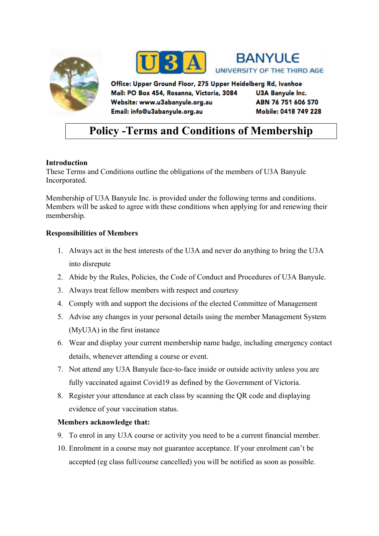





Office: Upper Ground Floor, 275 Upper Heidelberg Rd, Ivanhoe Mail: PO Box 454, Rosanna, Victoria, 3084 Website: www.u3abanyule.org.au Email: info@u3abanyule.org.au

**U3A Banyule Inc.** ABN 76 751 606 570 Mobile: 0418 749 228

# **Policy -Terms and Conditions of Membership**

## **Introduction**

These Terms and Conditions outline the obligations of the members of U3A Banyule Incorporated.

Membership of U3A Banyule Inc. is provided under the following terms and conditions. Members will be asked to agree with these conditions when applying for and renewing their membership.

## **Responsibilities of Members**

- 1. Always act in the best interests of the U3A and never do anything to bring the U3A into disrepute
- 2. Abide by the Rules, Policies, the Code of Conduct and Procedures of U3A Banyule.
- 3. Always treat fellow members with respect and courtesy
- 4. Comply with and support the decisions of the elected Committee of Management
- 5. Advise any changes in your personal details using the member Management System (MyU3A) in the first instance
- 6. Wear and display your current membership name badge, including emergency contact details, whenever attending a course or event.
- 7. Not attend any U3A Banyule face-to-face inside or outside activity unless you are fully vaccinated against Covid19 as defined by the Government of Victoria.
- 8. Register your attendance at each class by scanning the QR code and displaying evidence of your vaccination status.

#### **Members acknowledge that:**

- 9. To enrol in any U3A course or activity you need to be a current financial member.
- 10. Enrolment in a course may not guarantee acceptance. If your enrolment can't be accepted (eg class full/course cancelled) you will be notified as soon as possible.